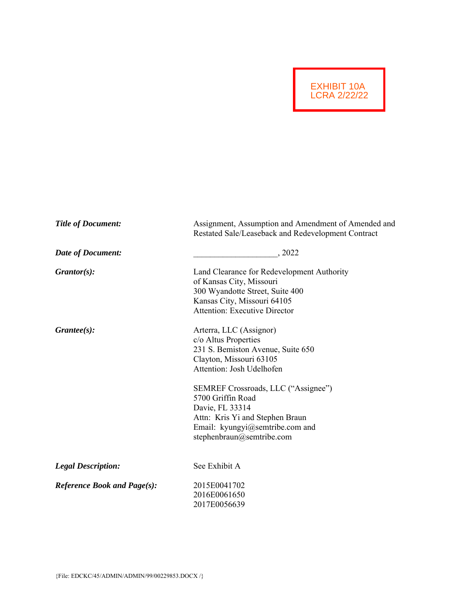

| <b>Title of Document:</b>          | Assignment, Assumption and Amendment of Amended and<br>Restated Sale/Leaseback and Redevelopment Contract                                                                                                                                                                                                                      |  |  |
|------------------------------------|--------------------------------------------------------------------------------------------------------------------------------------------------------------------------------------------------------------------------------------------------------------------------------------------------------------------------------|--|--|
| <b>Date of Document:</b>           | , 2022                                                                                                                                                                                                                                                                                                                         |  |  |
| $G \mathit{rantor}(s)$ :           | Land Clearance for Redevelopment Authority<br>of Kansas City, Missouri<br>300 Wyandotte Street, Suite 400<br>Kansas City, Missouri 64105<br><b>Attention: Executive Director</b>                                                                                                                                               |  |  |
| $G\mathit{r}$ antee(s):            | Arterra, LLC (Assignor)<br>c/o Altus Properties<br>231 S. Bemiston Avenue, Suite 650<br>Clayton, Missouri 63105<br>Attention: Josh Udelhofen<br>SEMREF Crossroads, LLC ("Assignee")<br>5700 Griffin Road<br>Davie, FL 33314<br>Attn: Kris Yi and Stephen Braun<br>Email: kyungyi@semtribe.com and<br>stephenbraun@semtribe.com |  |  |
| <b>Legal Description:</b>          | See Exhibit A                                                                                                                                                                                                                                                                                                                  |  |  |
| <b>Reference Book and Page(s):</b> | 2015E0041702<br>2016E0061650<br>2017E0056639                                                                                                                                                                                                                                                                                   |  |  |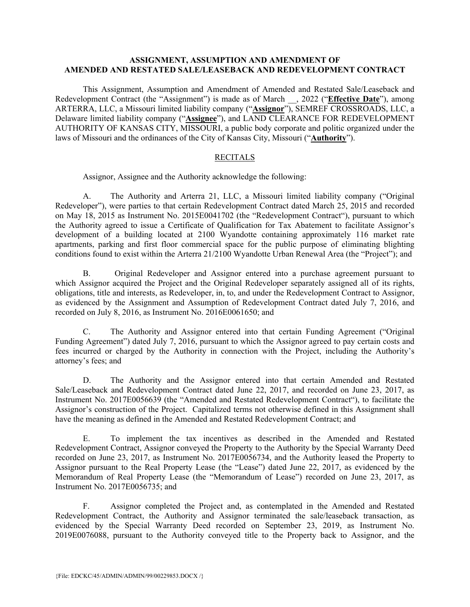### **ASSIGNMENT, ASSUMPTION AND AMENDMENT OF AMENDED AND RESTATED SALE/LEASEBACK AND REDEVELOPMENT CONTRACT**

 This Assignment, Assumption and Amendment of Amended and Restated Sale/Leaseback and Redevelopment Contract (the "Assignment") is made as of March \_\_, 2022 ("**Effective Date**"), among ARTERRA, LLC, a Missouri limited liability company ("**Assignor**"), SEMREF CROSSROADS, LLC, a Delaware limited liability company ("**Assignee**"), and LAND CLEARANCE FOR REDEVELOPMENT AUTHORITY OF KANSAS CITY, MISSOURI, a public body corporate and politic organized under the laws of Missouri and the ordinances of the City of Kansas City, Missouri ("**Authority**").

### RECITALS

Assignor, Assignee and the Authority acknowledge the following:

A. The Authority and Arterra 21, LLC, a Missouri limited liability company ("Original Redeveloper"), were parties to that certain Redevelopment Contract dated March 25, 2015 and recorded on May 18, 2015 as Instrument No. 2015E0041702 (the "Redevelopment Contract"), pursuant to which the Authority agreed to issue a Certificate of Qualification for Tax Abatement to facilitate Assignor's development of a building located at 2100 Wyandotte containing approximately 116 market rate apartments, parking and first floor commercial space for the public purpose of eliminating blighting conditions found to exist within the Arterra 21/2100 Wyandotte Urban Renewal Area (the "Project"); and

B. Original Redeveloper and Assignor entered into a purchase agreement pursuant to which Assignor acquired the Project and the Original Redeveloper separately assigned all of its rights, obligations, title and interests, as Redeveloper, in, to, and under the Redevelopment Contract to Assignor, as evidenced by the Assignment and Assumption of Redevelopment Contract dated July 7, 2016, and recorded on July 8, 2016, as Instrument No. 2016E0061650; and

C. The Authority and Assignor entered into that certain Funding Agreement ("Original Funding Agreement") dated July 7, 2016, pursuant to which the Assignor agreed to pay certain costs and fees incurred or charged by the Authority in connection with the Project, including the Authority's attorney's fees; and

D. The Authority and the Assignor entered into that certain Amended and Restated Sale/Leaseback and Redevelopment Contract dated June 22, 2017, and recorded on June 23, 2017, as Instrument No. 2017E0056639 (the "Amended and Restated Redevelopment Contract"), to facilitate the Assignor's construction of the Project. Capitalized terms not otherwise defined in this Assignment shall have the meaning as defined in the Amended and Restated Redevelopment Contract; and

E. To implement the tax incentives as described in the Amended and Restated Redevelopment Contract, Assignor conveyed the Property to the Authority by the Special Warranty Deed recorded on June 23, 2017, as Instrument No. 2017E0056734, and the Authority leased the Property to Assignor pursuant to the Real Property Lease (the "Lease") dated June 22, 2017, as evidenced by the Memorandum of Real Property Lease (the "Memorandum of Lease") recorded on June 23, 2017, as Instrument No. 2017E0056735; and

F. Assignor completed the Project and, as contemplated in the Amended and Restated Redevelopment Contract, the Authority and Assignor terminated the sale/leaseback transaction, as evidenced by the Special Warranty Deed recorded on September 23, 2019, as Instrument No. 2019E0076088, pursuant to the Authority conveyed title to the Property back to Assignor, and the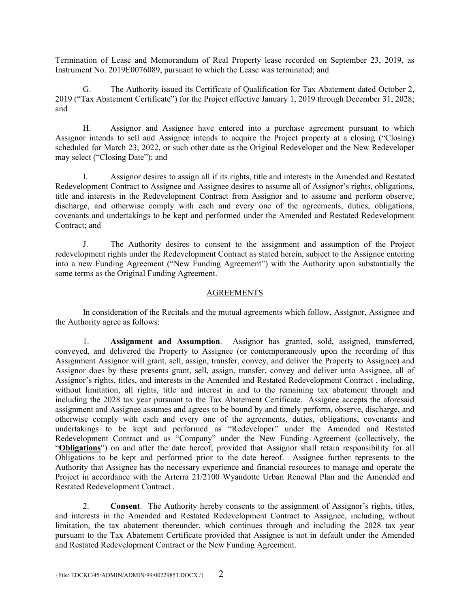Termination of Lease and Memorandum of Real Property lease recorded on September 23, 2019, as Instrument No. 2019E0076089, pursuant to which the Lease was terminated; and

G. The Authority issued its Certificate of Qualification for Tax Abatement dated October 2, 2019 ("Tax Abatement Certificate") for the Project effective January 1, 2019 through December 31, 2028; and

H. Assignor and Assignee have entered into a purchase agreement pursuant to which Assignor intends to sell and Assignee intends to acquire the Project property at a closing ("Closing) scheduled for March 23, 2022, or such other date as the Original Redeveloper and the New Redeveloper may select ("Closing Date"); and

I. Assignor desires to assign all if its rights, title and interests in the Amended and Restated Redevelopment Contract to Assignee and Assignee desires to assume all of Assignor's rights, obligations, title and interests in the Redevelopment Contract from Assignor and to assume and perform observe, discharge, and otherwise comply with each and every one of the agreements, duties, obligations, covenants and undertakings to be kept and performed under the Amended and Restated Redevelopment Contract; and

J. The Authority desires to consent to the assignment and assumption of the Project redevelopment rights under the Redevelopment Contract as stated herein, subject to the Assignee entering into a new Funding Agreement ("New Funding Agreement") with the Authority upon substantially the same terms as the Original Funding Agreement.

### AGREEMENTS

 In consideration of the Recitals and the mutual agreements which follow, Assignor, Assignee and the Authority agree as follows:

 1. **Assignment and Assumption**. Assignor has granted, sold, assigned, transferred, conveyed, and delivered the Property to Assignee (or contemporaneously upon the recording of this Assignment Assignor will grant, sell, assign, transfer, convey, and deliver the Property to Assignee) and Assignor does by these presents grant, sell, assign, transfer, convey and deliver unto Assignee, all of Assignor's rights, titles, and interests in the Amended and Restated Redevelopment Contract , including, without limitation, all rights, title and interest in and to the remaining tax abatement through and including the 2028 tax year pursuant to the Tax Abatement Certificate. Assignee accepts the aforesaid assignment and Assignee assumes and agrees to be bound by and timely perform, observe, discharge, and otherwise comply with each and every one of the agreements, duties, obligations, covenants and undertakings to be kept and performed as "Redeveloper" under the Amended and Restated Redevelopment Contract and as "Company" under the New Funding Agreement (collectively, the "**Obligations**") on and after the date hereof; provided that Assignor shall retain responsibility for all Obligations to be kept and performed prior to the date hereof. Assignee further represents to the Authority that Assignee has the necessary experience and financial resources to manage and operate the Project in accordance with the Arterra 21/2100 Wyandotte Urban Renewal Plan and the Amended and Restated Redevelopment Contract .

 2. **Consent**. The Authority hereby consents to the assignment of Assignor's rights, titles, and interests in the Amended and Restated Redevelopment Contract to Assignee, including, without limitation, the tax abatement thereunder, which continues through and including the 2028 tax year pursuant to the Tax Abatement Certificate provided that Assignee is not in default under the Amended and Restated Redevelopment Contract or the New Funding Agreement.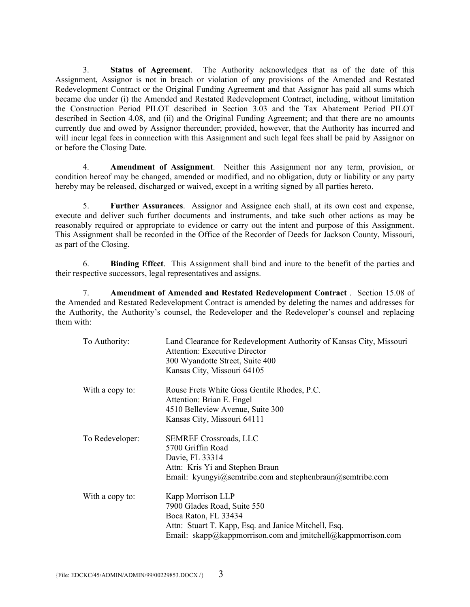3. **Status of Agreement**. The Authority acknowledges that as of the date of this Assignment, Assignor is not in breach or violation of any provisions of the Amended and Restated Redevelopment Contract or the Original Funding Agreement and that Assignor has paid all sums which became due under (i) the Amended and Restated Redevelopment Contract, including, without limitation the Construction Period PILOT described in Section 3.03 and the Tax Abatement Period PILOT described in Section 4.08, and (ii) and the Original Funding Agreement; and that there are no amounts currently due and owed by Assignor thereunder; provided, however, that the Authority has incurred and will incur legal fees in connection with this Assignment and such legal fees shall be paid by Assignor on or before the Closing Date.

 4. **Amendment of Assignment**. Neither this Assignment nor any term, provision, or condition hereof may be changed, amended or modified, and no obligation, duty or liability or any party hereby may be released, discharged or waived, except in a writing signed by all parties hereto.

 5. **Further Assurances**. Assignor and Assignee each shall, at its own cost and expense, execute and deliver such further documents and instruments, and take such other actions as may be reasonably required or appropriate to evidence or carry out the intent and purpose of this Assignment. This Assignment shall be recorded in the Office of the Recorder of Deeds for Jackson County, Missouri, as part of the Closing.

 6. **Binding Effect**. This Assignment shall bind and inure to the benefit of the parties and their respective successors, legal representatives and assigns.

 7. **Amendment of Amended and Restated Redevelopment Contract** . Section 15.08 of the Amended and Restated Redevelopment Contract is amended by deleting the names and addresses for the Authority, the Authority's counsel, the Redeveloper and the Redeveloper's counsel and replacing them with:

| To Authority:   | Land Clearance for Redevelopment Authority of Kansas City, Missouri<br><b>Attention: Executive Director</b><br>300 Wyandotte Street, Suite 400<br>Kansas City, Missouri 64105                    |
|-----------------|--------------------------------------------------------------------------------------------------------------------------------------------------------------------------------------------------|
| With a copy to: | Rouse Frets White Goss Gentile Rhodes, P.C.<br>Attention: Brian E. Engel<br>4510 Belleview Avenue, Suite 300<br>Kansas City, Missouri 64111                                                      |
| To Redeveloper: | <b>SEMREF Crossroads, LLC</b><br>5700 Griffin Road<br>Davie, FL 33314<br>Attn: Kris Yi and Stephen Braun<br>Email: kyungyi@semtribe.com and stephenbraun@semtribe.com                            |
| With a copy to: | Kapp Morrison LLP<br>7900 Glades Road, Suite 550<br>Boca Raton, FL 33434<br>Attn: Stuart T. Kapp, Esq. and Janice Mitchell, Esq.<br>Email: skapp@kappmorrison.com and jmitchell@kappmorrison.com |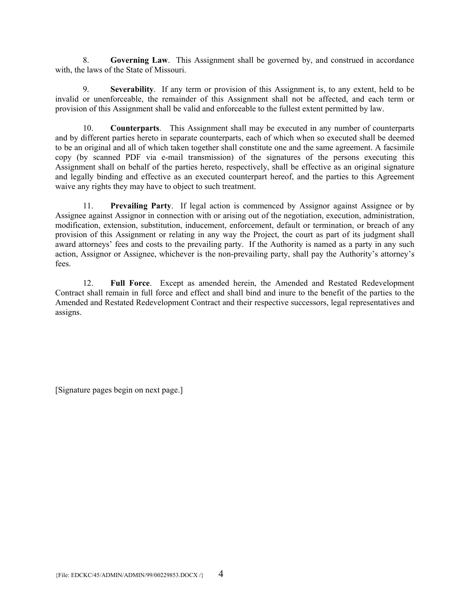8. **Governing Law**. This Assignment shall be governed by, and construed in accordance with, the laws of the State of Missouri.

 9. **Severability**.If any term or provision of this Assignment is, to any extent, held to be invalid or unenforceable, the remainder of this Assignment shall not be affected, and each term or provision of this Assignment shall be valid and enforceable to the fullest extent permitted by law.

 10. **Counterparts**.This Assignment shall may be executed in any number of counterparts and by different parties hereto in separate counterparts, each of which when so executed shall be deemed to be an original and all of which taken together shall constitute one and the same agreement. A facsimile copy (by scanned PDF via e-mail transmission) of the signatures of the persons executing this Assignment shall on behalf of the parties hereto, respectively, shall be effective as an original signature and legally binding and effective as an executed counterpart hereof, and the parties to this Agreement waive any rights they may have to object to such treatment.

 11. **Prevailing Party**. If legal action is commenced by Assignor against Assignee or by Assignee against Assignor in connection with or arising out of the negotiation, execution, administration, modification, extension, substitution, inducement, enforcement, default or termination, or breach of any provision of this Assignment or relating in any way the Project, the court as part of its judgment shall award attorneys' fees and costs to the prevailing party. If the Authority is named as a party in any such action, Assignor or Assignee, whichever is the non-prevailing party, shall pay the Authority's attorney's fees.

 12. **Full Force**. Except as amended herein, the Amended and Restated Redevelopment Contract shall remain in full force and effect and shall bind and inure to the benefit of the parties to the Amended and Restated Redevelopment Contract and their respective successors, legal representatives and assigns.

[Signature pages begin on next page.]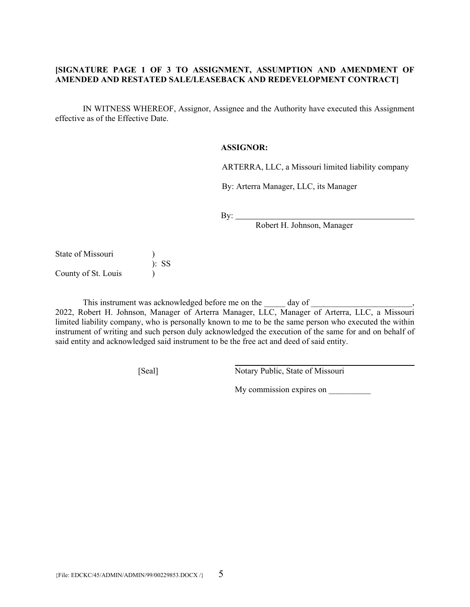## **[SIGNATURE PAGE 1 OF 3 TO ASSIGNMENT, ASSUMPTION AND AMENDMENT OF AMENDED AND RESTATED SALE/LEASEBACK AND REDEVELOPMENT CONTRACT]**

IN WITNESS WHEREOF, Assignor, Assignee and the Authority have executed this Assignment effective as of the Effective Date.

#### **ASSIGNOR:**

ARTERRA, LLC, a Missouri limited liability company

By: Arterra Manager, LLC, its Manager

By:  $\qquad \qquad$ 

Robert H. Johnson, Manager

State of Missouri ) ): SS County of St. Louis )

This instrument was acknowledged before me on the \_\_\_\_\_\_\_\_ day of \_\_\_\_\_\_\_\_\_\_\_\_\_\_\_

2022, Robert H. Johnson, Manager of Arterra Manager, LLC, Manager of Arterra, LLC, a Missouri limited liability company, who is personally known to me to be the same person who executed the within instrument of writing and such person duly acknowledged the execution of the same for and on behalf of said entity and acknowledged said instrument to be the free act and deed of said entity.

[Seal] Notary Public, State of Missouri

My commission expires on \_\_\_\_\_\_\_\_\_\_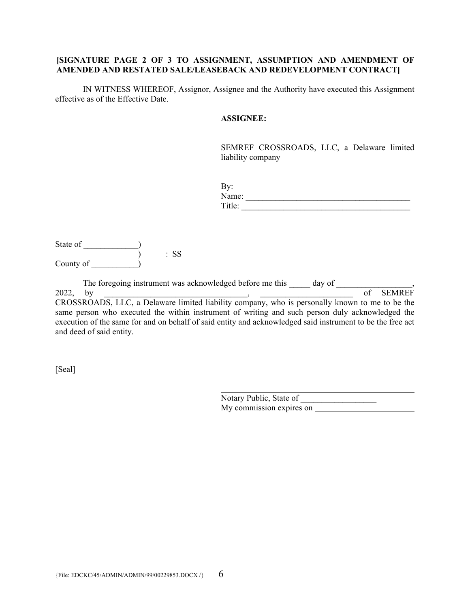### **[SIGNATURE PAGE 2 OF 3 TO ASSIGNMENT, ASSUMPTION AND AMENDMENT OF AMENDED AND RESTATED SALE/LEASEBACK AND REDEVELOPMENT CONTRACT]**

IN WITNESS WHEREOF, Assignor, Assignee and the Authority have executed this Assignment effective as of the Effective Date.

### **ASSIGNEE:**

SEMREF CROSSROADS, LLC, a Delaware limited liability company

| By:    |  |  |  |
|--------|--|--|--|
| Name:  |  |  |  |
| Title: |  |  |  |

| State of  |        |
|-----------|--------|
|           | $:$ SS |
| County of |        |

The foregoing instrument was acknowledged before me this day of  $\qquad \qquad$ , 2022, by extending the set of SEMREF of SEMREF CROSSROADS, LLC, a Delaware limited liability company, who is personally known to me to be the same person who executed the within instrument of writing and such person duly acknowledged the execution of the same for and on behalf of said entity and acknowledged said instrument to be the free act and deed of said entity.

[Seal]

 $\overline{a}$ Notary Public, State of My commission expires on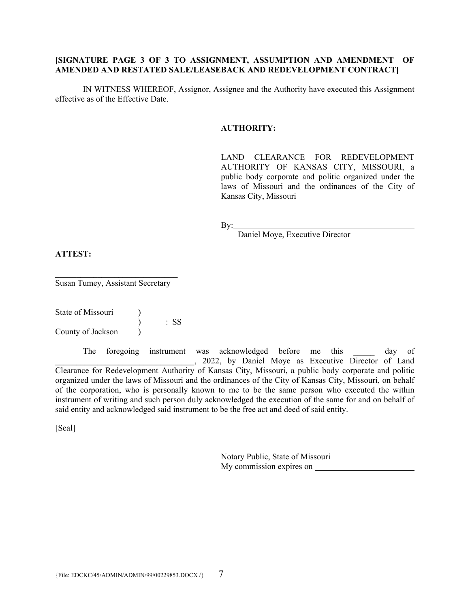## **[SIGNATURE PAGE 3 OF 3 TO ASSIGNMENT, ASSUMPTION AND AMENDMENT OF AMENDED AND RESTATED SALE/LEASEBACK AND REDEVELOPMENT CONTRACT]**

IN WITNESS WHEREOF, Assignor, Assignee and the Authority have executed this Assignment effective as of the Effective Date.

#### **AUTHORITY:**

LAND CLEARANCE FOR REDEVELOPMENT AUTHORITY OF KANSAS CITY, MISSOURI, a public body corporate and politic organized under the laws of Missouri and the ordinances of the City of Kansas City, Missouri

By:

Daniel Moye, Executive Director

### **ATTEST:**

**\_\_\_\_\_\_\_\_\_\_\_\_\_\_\_\_\_\_\_\_\_\_\_\_\_\_\_\_\_**  Susan Tumey, Assistant Secretary

State of Missouri (1) ) : SS County of Jackson (1)

The foregoing instrument was acknowledged before me this alay of \_\_\_\_\_\_\_\_\_\_\_\_\_\_\_\_\_\_\_\_\_\_\_\_\_\_\_\_\_\_\_\_\_, 2022, by Daniel Moye as Executive Director of Land Clearance for Redevelopment Authority of Kansas City, Missouri, a public body corporate and politic organized under the laws of Missouri and the ordinances of the City of Kansas City, Missouri, on behalf of the corporation, who is personally known to me to be the same person who executed the within instrument of writing and such person duly acknowledged the execution of the same for and on behalf of said entity and acknowledged said instrument to be the free act and deed of said entity.

[Seal]

Notary Public, State of Missouri My commission expires on

 $\overline{a}$